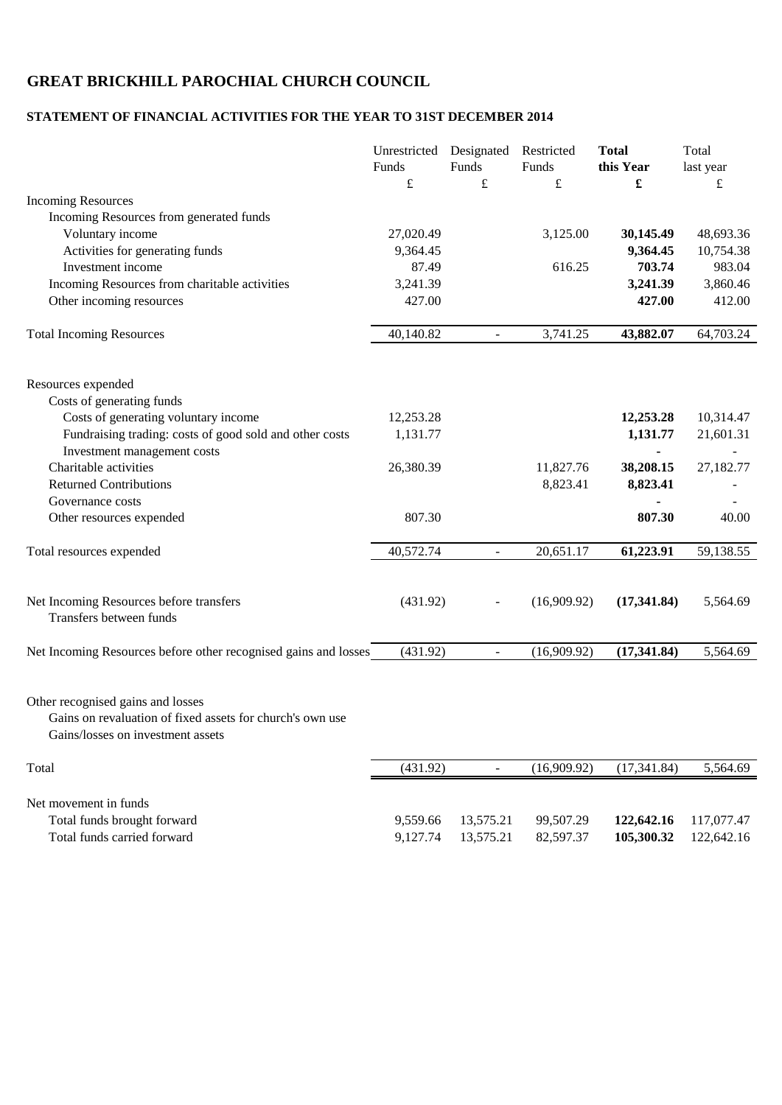## **GREAT BRICKHILL PAROCHIAL CHURCH COUNCIL**

## **STATEMENT OF FINANCIAL ACTIVITIES FOR THE YEAR TO 31ST DECEMBER 2014**

|                                                                                                                                     | Unrestricted Designated<br>Funds<br>$\pounds$ | Funds<br>$\pounds$       | Restricted<br>Funds<br>$\pounds$ | <b>Total</b><br>this Year<br>£ | Total<br>last year<br>£ |
|-------------------------------------------------------------------------------------------------------------------------------------|-----------------------------------------------|--------------------------|----------------------------------|--------------------------------|-------------------------|
| <b>Incoming Resources</b>                                                                                                           |                                               |                          |                                  |                                |                         |
| Incoming Resources from generated funds                                                                                             |                                               |                          |                                  |                                |                         |
| Voluntary income                                                                                                                    | 27,020.49                                     |                          | 3,125.00                         | 30,145.49                      | 48,693.36               |
| Activities for generating funds                                                                                                     | 9,364.45                                      |                          |                                  | 9,364.45                       | 10,754.38               |
| Investment income                                                                                                                   | 87.49                                         |                          | 616.25                           | 703.74                         | 983.04                  |
| Incoming Resources from charitable activities                                                                                       | 3,241.39                                      |                          |                                  | 3,241.39                       | 3,860.46                |
| Other incoming resources                                                                                                            | 427.00                                        |                          |                                  | 427.00                         | 412.00                  |
| <b>Total Incoming Resources</b>                                                                                                     | 40,140.82                                     | $\blacksquare$           | 3,741.25                         | 43,882.07                      | 64,703.24               |
| Resources expended                                                                                                                  |                                               |                          |                                  |                                |                         |
| Costs of generating funds                                                                                                           |                                               |                          |                                  |                                |                         |
| Costs of generating voluntary income                                                                                                | 12,253.28                                     |                          |                                  | 12,253.28                      | 10,314.47               |
| Fundraising trading: costs of good sold and other costs                                                                             | 1,131.77                                      |                          |                                  | 1,131.77                       | 21,601.31               |
| Investment management costs                                                                                                         |                                               |                          |                                  |                                |                         |
| Charitable activities                                                                                                               | 26,380.39                                     |                          | 11,827.76                        | 38,208.15                      | 27,182.77               |
| <b>Returned Contributions</b><br>Governance costs                                                                                   |                                               |                          | 8,823.41                         | 8,823.41                       |                         |
| Other resources expended                                                                                                            | 807.30                                        |                          |                                  | 807.30                         | 40.00                   |
|                                                                                                                                     |                                               |                          |                                  |                                |                         |
| Total resources expended                                                                                                            | 40,572.74                                     | $\blacksquare$           | 20,651.17                        | 61,223.91                      | 59,138.55               |
| Net Incoming Resources before transfers<br>Transfers between funds                                                                  | (431.92)                                      |                          | (16,909.92)                      | (17,341.84)                    | 5,564.69                |
| Net Incoming Resources before other recognised gains and losses                                                                     | (431.92)                                      | $\overline{\phantom{a}}$ | (16,909.92)                      | (17, 341.84)                   | 5,564.69                |
| Other recognised gains and losses<br>Gains on revaluation of fixed assets for church's own use<br>Gains/losses on investment assets |                                               |                          |                                  |                                |                         |
| Total                                                                                                                               | (431.92)                                      | $\mathbb{L}^2$           | (16,909.92)                      | (17, 341.84)                   | 5,564.69                |
|                                                                                                                                     |                                               |                          |                                  |                                |                         |
| Net movement in funds                                                                                                               |                                               |                          |                                  |                                |                         |
| Total funds brought forward                                                                                                         | 9,559.66                                      | 13,575.21                | 99,507.29                        | 122,642.16                     | 117,077.47              |
| Total funds carried forward                                                                                                         | 9,127.74                                      | 13,575.21                | 82,597.37                        | 105,300.32                     | 122,642.16              |